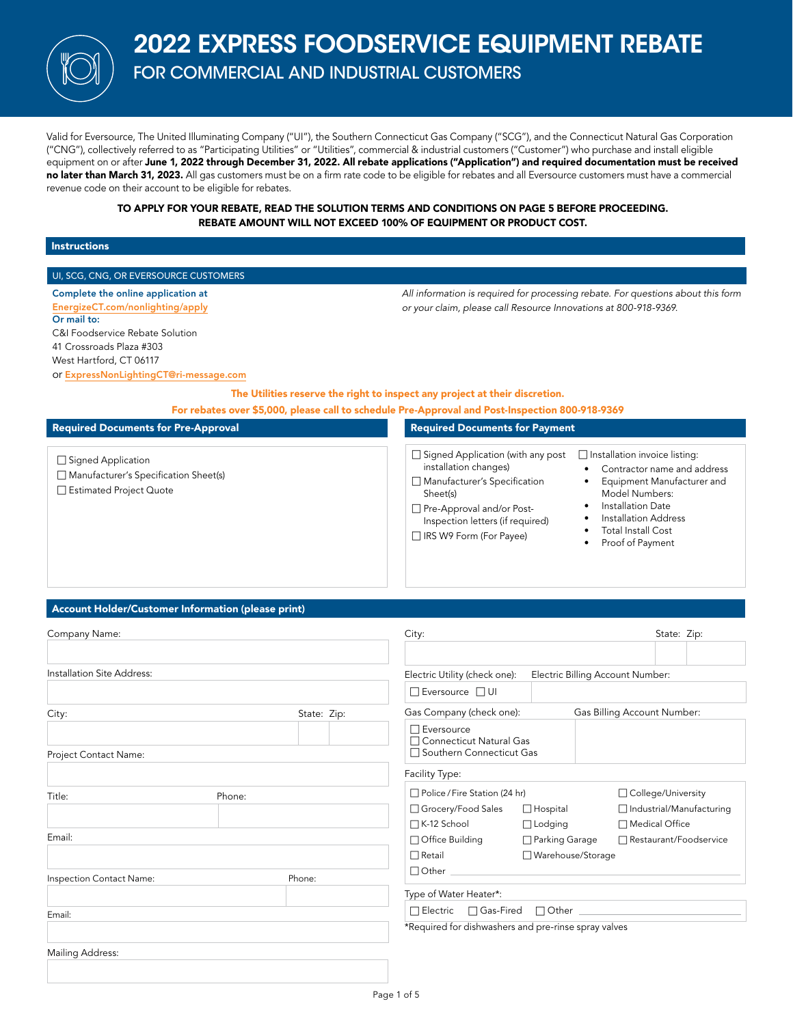# 2022 EXPRESS FOODSERVICE EQUIPMENT REBATE

FOR COMMERCIAL AND INDUSTRIAL CUSTOMERS

Valid for Eversource, The United Illuminating Company ("UI"), the Southern Connecticut Gas Company ("SCG"), and the Connecticut Natural Gas Corporation ("CNG"), collectively referred to as "Participating Utilities" or "Utilities", commercial & industrial customers ("Customer") who purchase and install eligible equipment on or after June 1, 2022 through December 31, 2022. All rebate applications ("Application") and required documentation must be received no later than March 31, 2023. All gas customers must be on a firm rate code to be eligible for rebates and all Eversource customers must have a commercial revenue code on their account to be eligible for rebates.

> TO APPLY FOR YOUR REBATE, READ THE SOLUTION TERMS AND CONDITIONS ON PAGE 5 BEFORE PROCEEDING. REBATE AMOUNT WILL NOT EXCEED 100% OF EQUIPMENT OR PRODUCT COST.

#### Instructions

#### UI, SCG, CNG, OR EVERSOURCE CUSTOMERS

Complete the online application at [EnergizeCT.com/nonlighting/apply](http://EnergizeCT.com/nonlighting/apply) Or mail to: C&I Foodservice Rebate Solution 41 Crossroads Plaza #303 West Hartford, CT 06117

*All information is required for processing rebate. For questions about this form or your claim, please call Resource Innovations at 800-918-9369.*

or [ExpressNonLightingCT@ri-message.com](mailto:ExpressNonLightingCT%40ri-message.com?subject=)

The Utilities reserve the right to inspect any project at their discretion.

For rebates over \$5,000, please call to schedule Pre-Approval and Post-Inspection 800-918-9369

#### Required Documents for Pre-Approval □ Signed Application  $\Box$  Manufacturer's Specification Sheet(s) □ Estimated Project Quote Required Documents for Payment  $\Box$  Signed Application (with any post  $\quad \Box$  Installation invoice listing: installation changes)  $\Box$  Manufacturer's Specification Sheet(s) □ Pre-Approval and/or Post-Inspection letters (if required) □ IRS W9 Form (For Payee) • Contractor name and address • Equipment Manufacturer and Model Numbers: Installation Date • Installation Address • Total Install Cost Proof of Payment

### Account Holder/Customer Information (please print)

| Company Name:              |             | City:                                                                        |                     | State: Zip:                      |  |
|----------------------------|-------------|------------------------------------------------------------------------------|---------------------|----------------------------------|--|
| Installation Site Address: |             | Electric Utility (check one):                                                |                     | Electric Billing Account Number: |  |
|                            |             | □ Eversource □ UI                                                            |                     |                                  |  |
| City:                      | State: Zip: | Gas Company (check one):                                                     |                     | Gas Billing Account Number:      |  |
| Project Contact Name:      |             | $\Box$ Eversource<br>□ Connecticut Natural Gas<br>□ Southern Connecticut Gas |                     |                                  |  |
|                            |             | Facility Type:                                                               |                     |                                  |  |
| Title:<br>Phone:           |             | □ Police / Fire Station (24 hr)                                              |                     | □ College/University             |  |
|                            |             | □ Grocery/Food Sales                                                         | $\Box$ Hospital     | □ Industrial/Manufacturing       |  |
|                            |             | □ K-12 School                                                                | $\Box$ Lodging      | □ Medical Office                 |  |
| Email:                     |             | □ Office Building                                                            | □ Parking Garage    | □ Restaurant/Foodservice         |  |
|                            |             | $\Box$ Retail                                                                | □ Warehouse/Storage |                                  |  |
| Inspection Contact Name:   | Phone:      | $\Box$ Other $\Box$                                                          |                     |                                  |  |
|                            |             | Type of Water Heater*:                                                       |                     |                                  |  |
| Email:                     |             | □ Electric □ Gas-Fired □ Other <u>_________</u>                              |                     |                                  |  |
|                            |             | *Required for dishwashers and pre-rinse spray valves                         |                     |                                  |  |
| <b>Mailing Address:</b>    |             |                                                                              |                     |                                  |  |
|                            |             |                                                                              |                     |                                  |  |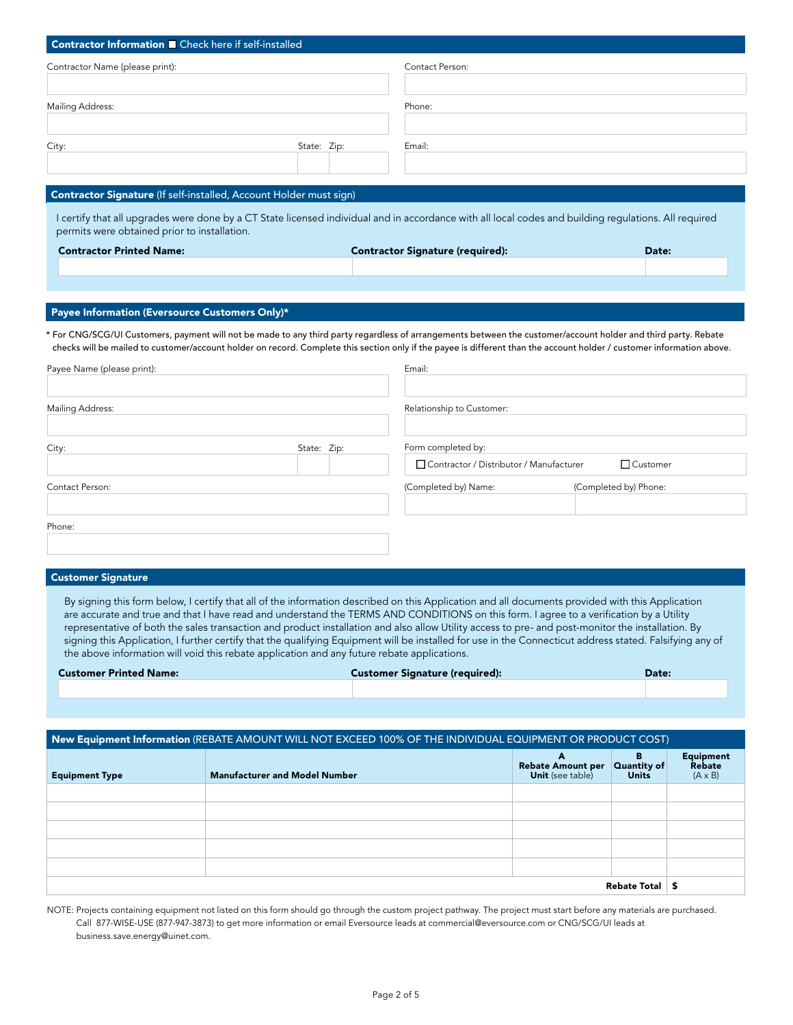| Contractor Information <b>D</b> Check here if self-installed                                                                                                                                                                                                                                                                             |             |                                         |                       |            |
|------------------------------------------------------------------------------------------------------------------------------------------------------------------------------------------------------------------------------------------------------------------------------------------------------------------------------------------|-------------|-----------------------------------------|-----------------------|------------|
| Contractor Name (please print):                                                                                                                                                                                                                                                                                                          |             | Contact Person:                         |                       |            |
| Mailing Address:                                                                                                                                                                                                                                                                                                                         |             | Phone:                                  |                       |            |
|                                                                                                                                                                                                                                                                                                                                          |             |                                         |                       |            |
| City:                                                                                                                                                                                                                                                                                                                                    | State: Zip: | Email:                                  |                       |            |
|                                                                                                                                                                                                                                                                                                                                          |             |                                         |                       |            |
| Contractor Signature (If self-installed, Account Holder must sign)                                                                                                                                                                                                                                                                       |             |                                         |                       |            |
| I certify that all upgrades were done by a CT State licensed individual and in accordance with all local codes and building regulations. All required<br>permits were obtained prior to installation.                                                                                                                                    |             |                                         |                       |            |
| <b>Contractor Printed Name:</b>                                                                                                                                                                                                                                                                                                          |             | <b>Contractor Signature (required):</b> |                       | Date:      |
|                                                                                                                                                                                                                                                                                                                                          |             |                                         |                       |            |
|                                                                                                                                                                                                                                                                                                                                          |             |                                         |                       |            |
| Payee Information (Eversource Customers Only)*                                                                                                                                                                                                                                                                                           |             |                                         |                       |            |
| * For CNG/SCG/UI Customers, payment will not be made to any third party regardless of arrangements between the customer/account holder and third party. Rebate<br>checks will be mailed to customer/account holder on record. Complete this section only if the payee is different than the account holder / customer information above. |             |                                         |                       |            |
| Payee Name (please print):                                                                                                                                                                                                                                                                                                               |             | Email:                                  |                       |            |
|                                                                                                                                                                                                                                                                                                                                          |             |                                         |                       |            |
| Mailing Address:                                                                                                                                                                                                                                                                                                                         |             | Relationship to Customer:               |                       |            |
| City:                                                                                                                                                                                                                                                                                                                                    | State: Zip: | Form completed by:                      |                       |            |
|                                                                                                                                                                                                                                                                                                                                          |             | Contractor / Distributor / Manufacturer |                       | □ Customer |
| Contact Person:                                                                                                                                                                                                                                                                                                                          |             | (Completed by) Name:                    | (Completed by) Phone: |            |
|                                                                                                                                                                                                                                                                                                                                          |             |                                         |                       |            |
| Phone:                                                                                                                                                                                                                                                                                                                                   |             |                                         |                       |            |

#### Customer Signature

By signing this form below, I certify that all of the information described on this Application and all documents provided with this Application are accurate and true and that I have read and understand the TERMS AND CONDITIONS on this form. I agree to a verification by a Utility representative of both the sales transaction and product installation and also allow Utility access to pre- and post-monitor the installation. By signing this Application, I further certify that the qualifying Equipment will be installed for use in the Connecticut address stated. Falsifying any of the above information will void this rebate application and any future rebate applications.

| <b>Customer Printed Name:</b> | <b>Customer Signature (required):</b> | Date: |
|-------------------------------|---------------------------------------|-------|
|                               |                                       |       |

| New Equipment Information (REBATE AMOUNT WILL NOT EXCEED 100% OF THE INDIVIDUAL EQUIPMENT OR PRODUCT COST) |                                      |                                                               |                   |                                              |  |
|------------------------------------------------------------------------------------------------------------|--------------------------------------|---------------------------------------------------------------|-------------------|----------------------------------------------|--|
| <b>Equipment Type</b>                                                                                      | <b>Manufacturer and Model Number</b> | A<br>Rebate Amount per Quantity of<br><b>Unit</b> (see table) | в<br><b>Units</b> | <b>Equipment</b><br>Rebate<br>$(A \times B)$ |  |
|                                                                                                            |                                      |                                                               |                   |                                              |  |
|                                                                                                            |                                      |                                                               |                   |                                              |  |
|                                                                                                            |                                      |                                                               |                   |                                              |  |
|                                                                                                            |                                      |                                                               |                   |                                              |  |
|                                                                                                            |                                      |                                                               |                   |                                              |  |
| Rebate Total                                                                                               |                                      |                                                               |                   |                                              |  |

NOTE: Projects containing equipment not listed on this form should go through the custom project pathway. The project must start before any materials are purchased. Call 877-WISE-USE (877-947-3873) to get more information or email Eversource leads at commercial@eversource.com or CNG/SCG/UI leads at business.save.energy@uinet.com.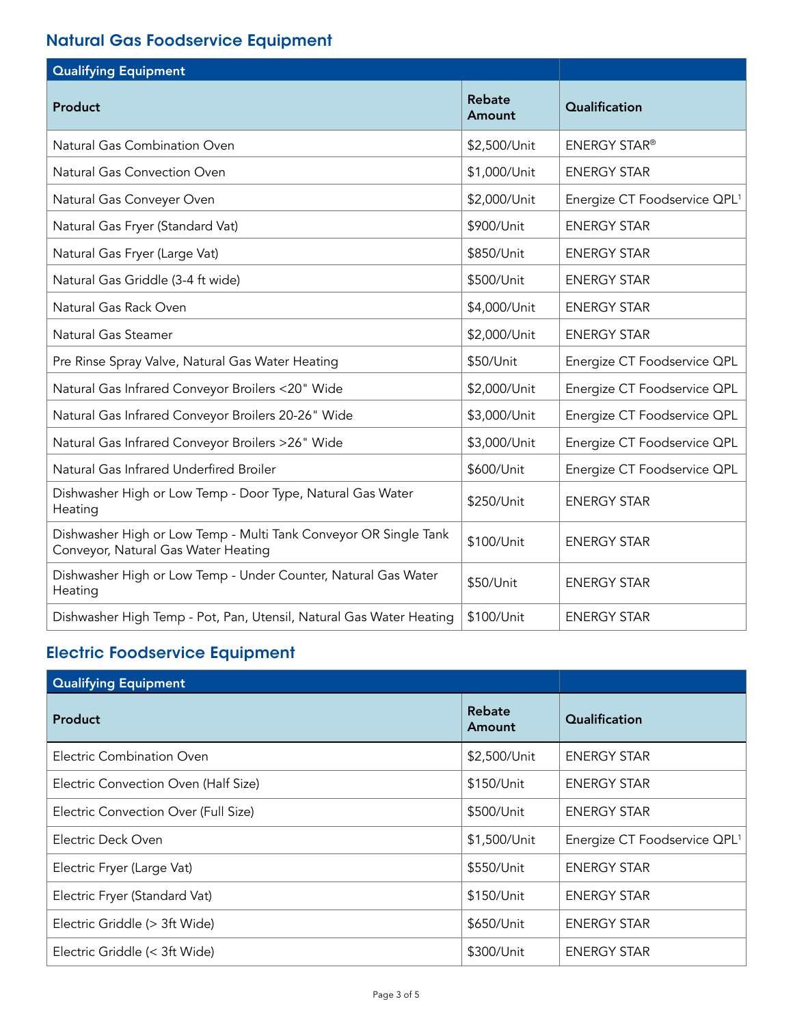## Natural Gas Foodservice Equipment

| <b>Qualifying Equipment</b>                                                                             |                  |                                          |
|---------------------------------------------------------------------------------------------------------|------------------|------------------------------------------|
| Product                                                                                                 | Rebate<br>Amount | Qualification                            |
| Natural Gas Combination Oven                                                                            | \$2,500/Unit     | <b>ENERGY STAR®</b>                      |
| Natural Gas Convection Oven                                                                             | \$1,000/Unit     | <b>ENERGY STAR</b>                       |
| Natural Gas Conveyer Oven                                                                               | \$2,000/Unit     | Energize CT Foodservice QPL <sup>1</sup> |
| Natural Gas Fryer (Standard Vat)                                                                        | \$900/Unit       | <b>ENERGY STAR</b>                       |
| Natural Gas Fryer (Large Vat)                                                                           | \$850/Unit       | <b>ENERGY STAR</b>                       |
| Natural Gas Griddle (3-4 ft wide)                                                                       | \$500/Unit       | <b>ENERGY STAR</b>                       |
| Natural Gas Rack Oven                                                                                   | \$4,000/Unit     | <b>ENERGY STAR</b>                       |
| Natural Gas Steamer                                                                                     | \$2,000/Unit     | <b>ENERGY STAR</b>                       |
| Pre Rinse Spray Valve, Natural Gas Water Heating                                                        | \$50/Unit        | Energize CT Foodservice QPL              |
| Natural Gas Infrared Conveyor Broilers <20" Wide                                                        | \$2,000/Unit     | Energize CT Foodservice QPL              |
| Natural Gas Infrared Conveyor Broilers 20-26" Wide                                                      | \$3,000/Unit     | Energize CT Foodservice QPL              |
| Natural Gas Infrared Conveyor Broilers >26" Wide                                                        | \$3,000/Unit     | Energize CT Foodservice QPL              |
| Natural Gas Infrared Underfired Broiler                                                                 | \$600/Unit       | Energize CT Foodservice QPL              |
| Dishwasher High or Low Temp - Door Type, Natural Gas Water<br>Heating                                   | \$250/Unit       | <b>ENERGY STAR</b>                       |
| Dishwasher High or Low Temp - Multi Tank Conveyor OR Single Tank<br>Conveyor, Natural Gas Water Heating | \$100/Unit       | <b>ENERGY STAR</b>                       |
| Dishwasher High or Low Temp - Under Counter, Natural Gas Water<br>Heating                               | \$50/Unit        | <b>ENERGY STAR</b>                       |
| Dishwasher High Temp - Pot, Pan, Utensil, Natural Gas Water Heating                                     | \$100/Unit       | <b>ENERGY STAR</b>                       |

# Electric Foodservice Equipment

| <b>Qualifying Equipment</b>          |                  |                                          |
|--------------------------------------|------------------|------------------------------------------|
| <b>Product</b>                       | Rebate<br>Amount | Qualification                            |
| Electric Combination Oven            | \$2,500/Unit     | <b>ENERGY STAR</b>                       |
| Electric Convection Oven (Half Size) | \$150/Unit       | <b>ENERGY STAR</b>                       |
| Electric Convection Over (Full Size) | \$500/Unit       | <b>ENERGY STAR</b>                       |
| Electric Deck Oven                   | \$1,500/Unit     | Energize CT Foodservice QPL <sup>1</sup> |
| Electric Fryer (Large Vat)           | \$550/Unit       | <b>ENERGY STAR</b>                       |
| Electric Fryer (Standard Vat)        | \$150/Unit       | <b>ENERGY STAR</b>                       |
| Electric Griddle (> 3ft Wide)        | \$650/Unit       | <b>ENERGY STAR</b>                       |
| Electric Griddle (< 3ft Wide)        | \$300/Unit       | <b>ENERGY STAR</b>                       |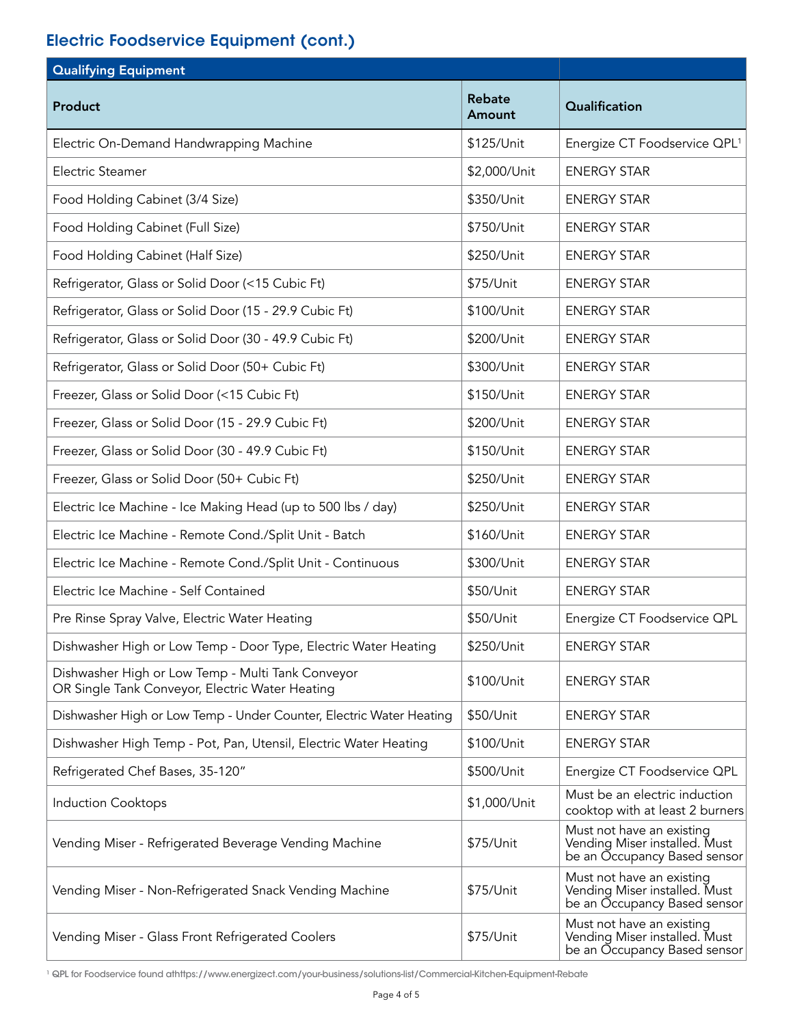### Electric Foodservice Equipment (cont.)

| <b>Qualifying Equipment</b>                                                                          |                         |                                                                                            |
|------------------------------------------------------------------------------------------------------|-------------------------|--------------------------------------------------------------------------------------------|
| <b>Product</b>                                                                                       | <b>Rebate</b><br>Amount | Qualification                                                                              |
| Electric On-Demand Handwrapping Machine                                                              | \$125/Unit              | Energize CT Foodservice QPL <sup>1</sup>                                                   |
| Electric Steamer                                                                                     | \$2,000/Unit            | <b>ENERGY STAR</b>                                                                         |
| Food Holding Cabinet (3/4 Size)                                                                      | \$350/Unit              | <b>ENERGY STAR</b>                                                                         |
| Food Holding Cabinet (Full Size)                                                                     | \$750/Unit              | <b>ENERGY STAR</b>                                                                         |
| Food Holding Cabinet (Half Size)                                                                     | \$250/Unit              | <b>ENERGY STAR</b>                                                                         |
| Refrigerator, Glass or Solid Door (<15 Cubic Ft)                                                     | \$75/Unit               | <b>ENERGY STAR</b>                                                                         |
| Refrigerator, Glass or Solid Door (15 - 29.9 Cubic Ft)                                               | \$100/Unit              | <b>ENERGY STAR</b>                                                                         |
| Refrigerator, Glass or Solid Door (30 - 49.9 Cubic Ft)                                               | \$200/Unit              | <b>ENERGY STAR</b>                                                                         |
| Refrigerator, Glass or Solid Door (50+ Cubic Ft)                                                     | \$300/Unit              | <b>ENERGY STAR</b>                                                                         |
| Freezer, Glass or Solid Door (<15 Cubic Ft)                                                          | \$150/Unit              | <b>ENERGY STAR</b>                                                                         |
| Freezer, Glass or Solid Door (15 - 29.9 Cubic Ft)                                                    | \$200/Unit              | <b>ENERGY STAR</b>                                                                         |
| Freezer, Glass or Solid Door (30 - 49.9 Cubic Ft)                                                    | \$150/Unit              | <b>ENERGY STAR</b>                                                                         |
| Freezer, Glass or Solid Door (50+ Cubic Ft)                                                          | \$250/Unit              | <b>ENERGY STAR</b>                                                                         |
| Electric Ice Machine - Ice Making Head (up to 500 lbs / day)                                         | \$250/Unit              | <b>ENERGY STAR</b>                                                                         |
| Electric Ice Machine - Remote Cond./Split Unit - Batch                                               | \$160/Unit              | <b>ENERGY STAR</b>                                                                         |
| Electric Ice Machine - Remote Cond./Split Unit - Continuous                                          | \$300/Unit              | <b>ENERGY STAR</b>                                                                         |
| Electric Ice Machine - Self Contained                                                                | \$50/Unit               | <b>ENERGY STAR</b>                                                                         |
| Pre Rinse Spray Valve, Electric Water Heating                                                        | \$50/Unit               | Energize CT Foodservice QPL                                                                |
| Dishwasher High or Low Temp - Door Type, Electric Water Heating                                      | \$250/Unit              | <b>ENERGY STAR</b>                                                                         |
| Dishwasher High or Low Temp - Multi Tank Conveyor<br>OR Single Tank Conveyor, Electric Water Heating | \$100/Unit              | <b>ENERGY STAR</b>                                                                         |
| Dishwasher High or Low Temp - Under Counter, Electric Water Heating                                  | \$50/Unit               | <b>ENERGY STAR</b>                                                                         |
| Dishwasher High Temp - Pot, Pan, Utensil, Electric Water Heating                                     | \$100/Unit              | <b>ENERGY STAR</b>                                                                         |
| Refrigerated Chef Bases, 35-120"                                                                     | \$500/Unit              | Energize CT Foodservice QPL                                                                |
| <b>Induction Cooktops</b>                                                                            | \$1,000/Unit            | Must be an electric induction<br>cooktop with at least 2 burners                           |
| Vending Miser - Refrigerated Beverage Vending Machine                                                | \$75/Unit               | Must not have an existing<br>Vending Miser installed. Must<br>be an Occupancy Based sensor |
| Vending Miser - Non-Refrigerated Snack Vending Machine                                               | \$75/Unit               | Must not have an existing<br>Vending Miser installed. Must<br>be an Occupancy Based sensor |
| Vending Miser - Glass Front Refrigerated Coolers                                                     | \$75/Unit               | Must not have an existing<br>Vending Miser installed. Must<br>be an Occupancy Based sensor |

1 QPL for Foodservice found athttps://www.energizect.com/your-business/solutions-list/Commercial-Kitchen-Equipment-Rebate